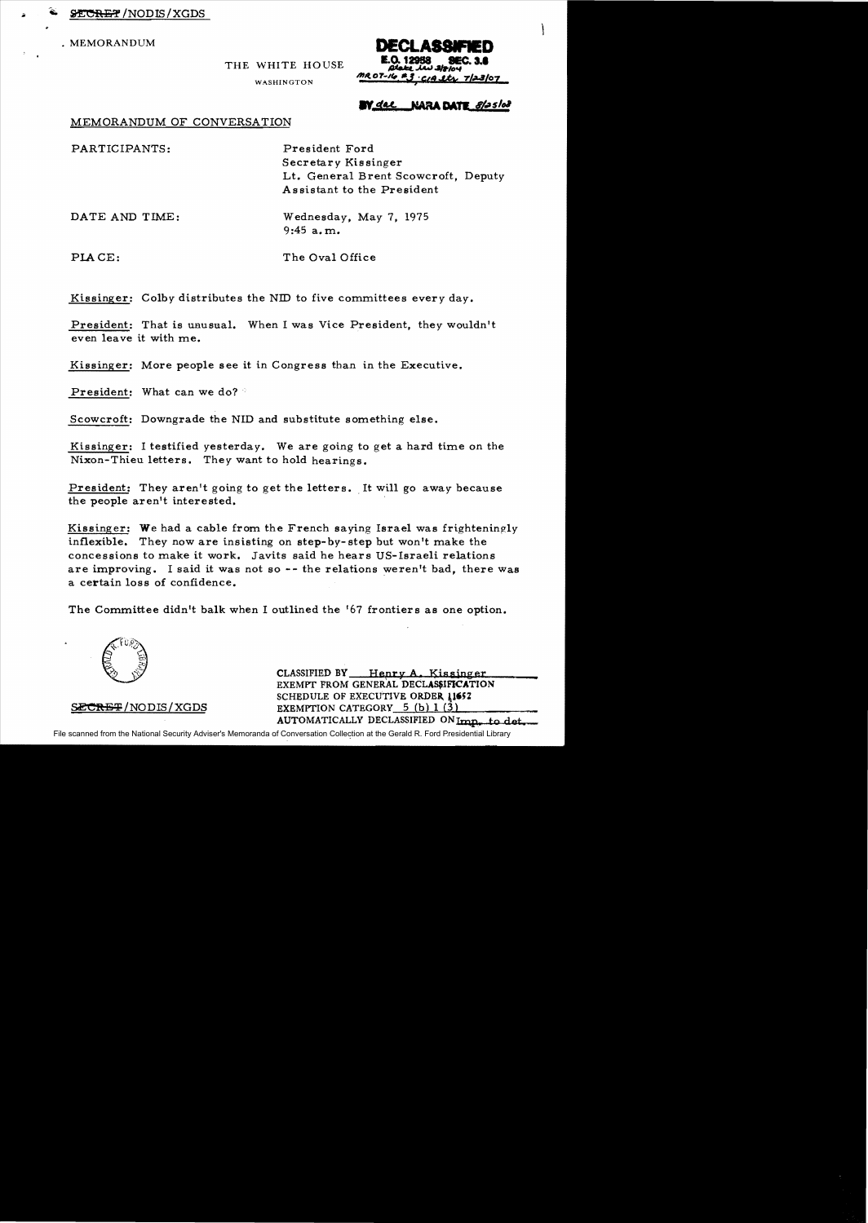**SECRET /NODIS / XGDS** 

• MEMORANDUM

**MR 07-16 #** CIA Stri  $7/23/07$ 

#### WASHINGTON

THE WHITE HOUSE

## W<u>dal</u> NARA DATE 8/25/08

### MEMORANDUM OF CONVERSATION

| PARTICIPANTS:  | President Ford                                                    |
|----------------|-------------------------------------------------------------------|
|                | Secretary Kissinger                                               |
|                | Lt. General Brent Scowcroft, Deputy<br>Assistant to the President |
| DATE AND TIME: | Wednesday, May 7, 1975                                            |

9:45 a. m.

PLACE: The Oval Office

Kissinger: Colby distributes the NID to five committees every day.

President: That is unusual. When I was Vice President, they wouldn't even leave it with me.

Kissinger: More people see it in Congress than in the Executive.

President: What can we do?

Scowcroft: Downgrade the NID and substitute something else.

Kissinger: I testified yesterday. We are going to get a hard time on the Nixon-Thieu letters. They want to hold hearings.

President: They aren't going to get the letters. It will go away because the people aren't interested.

Kissinger: We had a cable from the French saying Israel was frighteningly inflexible. They now are insisting on step- by- step but won't make the concessions to make it work. Javits said he hears US-Israeli relations are improving. I said it was not so -- the relations weren't bad, there was a certain loss of confidence.

The Committee didn't balk when I outlined the '67 frontiers as one option.



CLASSIFIED BY Henry A. Kissinger EXEMPT FROM GENERAL DECLASSIFICATION SCHEDULE OF EXECUTIVE ORDER 11652 SECRET/NODIS/XGDS EXEMPTION CATEGORY 5(b) 1(3) AUTOMATICALLY DECLASSIFIED ONImp. to det

File scanned from the National Security Adviser's Memoranda of Conversation Collection at the Gerald R. Ford Presidential Library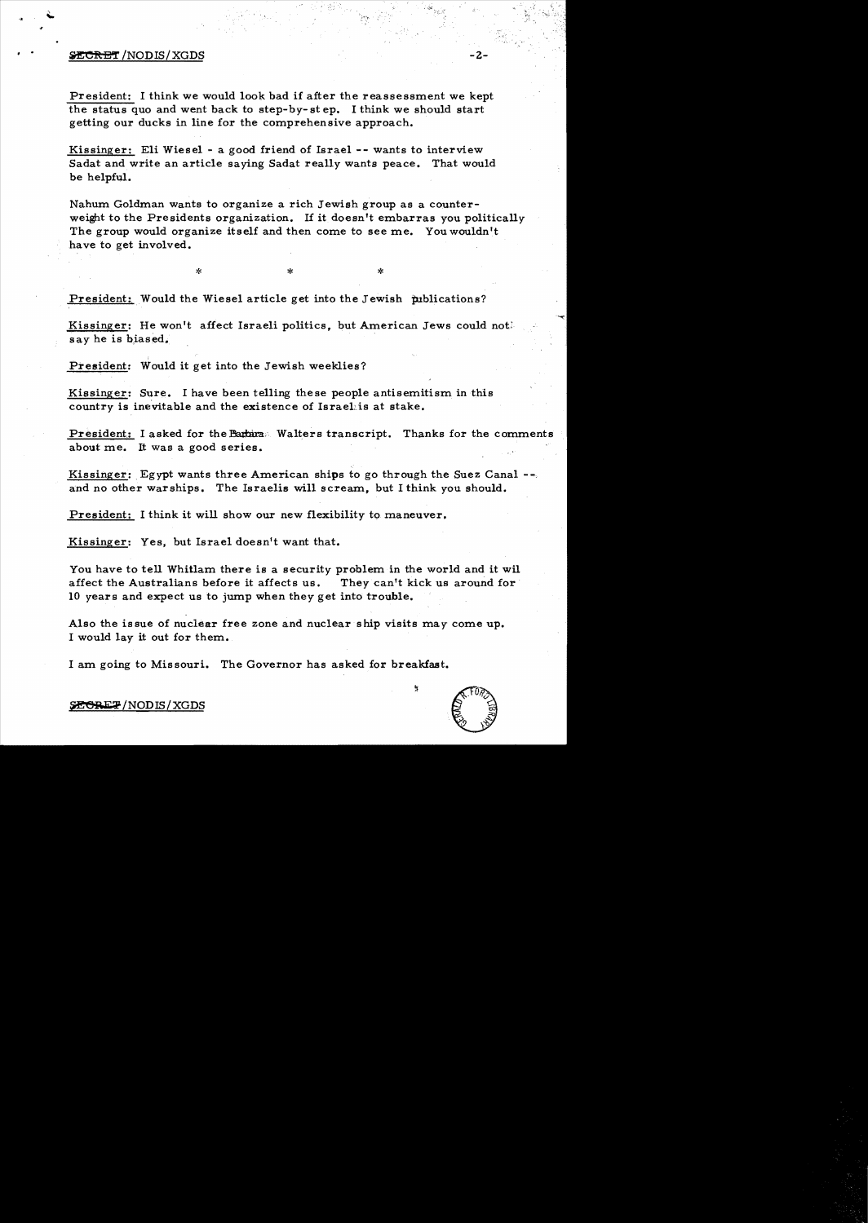# $\cdot$  .  $\frac{\text{SCERET}}{\text{NODIS/XGDS}}$  -2-

President: I think we would look bad if after the reassessment we kept the status quo and went back to step-by-st ep. I think we should start getting our ducks in line for the comprehensive approach.

Kissinger: Eli Wiesel - a good friend of Israel -- wants to interview Sadat and write an article saying Sadat really wants peace. That would be helpful.

Nahum Goldman wants to organize a rich Jewish group as a counterweight to the Presidents organization. If it doesn't embarras you politically The group would organize itself and then come to see me. You wouldn't have to get involved.

President: Would the Wiesel article get into the Jewish publications?

Kissinger: He won't affect Israeli politics, but American Jews could not; say he is biased.

 $\ddot{x}$  \* \* \*

President: Would it get into the Jewish weeklies?

Kissinger: Sure. I have been telling these people antisemitism in this country is inevitable and the existence of IsraeLis at stake.

President: I asked for the Barbara: Walters transcript. Thanks for the comments about me. It was a good series.

Kissinger: Egypt wants three American ships to go through the Suez Canal --. and no other warships. The Israelis will scream, but I think you should.

President: I think it will show our new flexibility to maneuver.

Kissinger: Yes, but Israel doesn't want that.

You have to tell Whitlam there is a security problem in the world and it wil affect the Australians before it affects us. They can't kick us around for· 10 years and expect us to jump when they get into trouble.

Also the issue of nuclear free zone and nuclear ship visits may come up. I would lay it out for them.

I am going to Missouri. The Governor has asked for breakfast.



 $\mathcal{A}, \mathcal{F},$ 

**SECRET/NODIS/XGDS**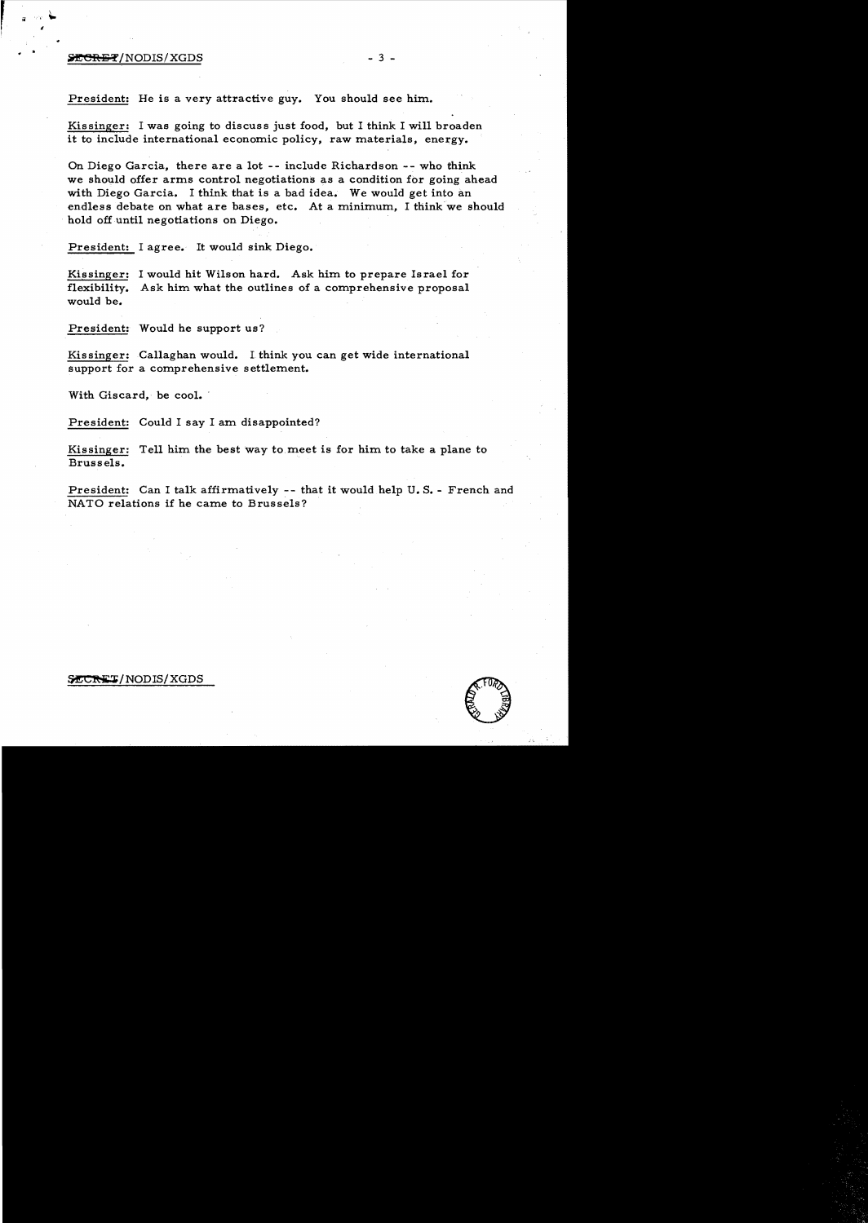### $\frac{1}{2} \cdot \frac{1}{2}$  - 3 -

,

President: He is a very attractive guy. You should see him.

Kissinger: I was going to discuss just food, but I think I will broaden it to include international economic policy, raw materials, energy.

On Diego Garcia, there are a lot -- include Richardson -- who think we should offer arms control negotiations as a condition for going ahead with Diego Garcia. I think that is a bad idea. We would get into an endless debate on what are bases, etc. At a minimum, I think we should hold off until negotiations on Diego.

President: I agree. It would sink Diego.

Kissinger: I would hit Wilson hard. Ask him to prepare Israel for flexibility. Ask him what the outlines of a comprehensive proposal would be.

President: Would he support us?

Kissinger: Callaghan would. I think you can get wide international support for a comprehensive settlement.

With Giscard, be cool.

President: Could I say I am disappointed?

Kissinger: Tell him the best Way to meet is for him to take a plane to Brussels.

President: Can I talk affirmatively -- that it would help U. S. - French and NATO relations if he came to Brussels?

#### SECRET/NODIS/XGDS

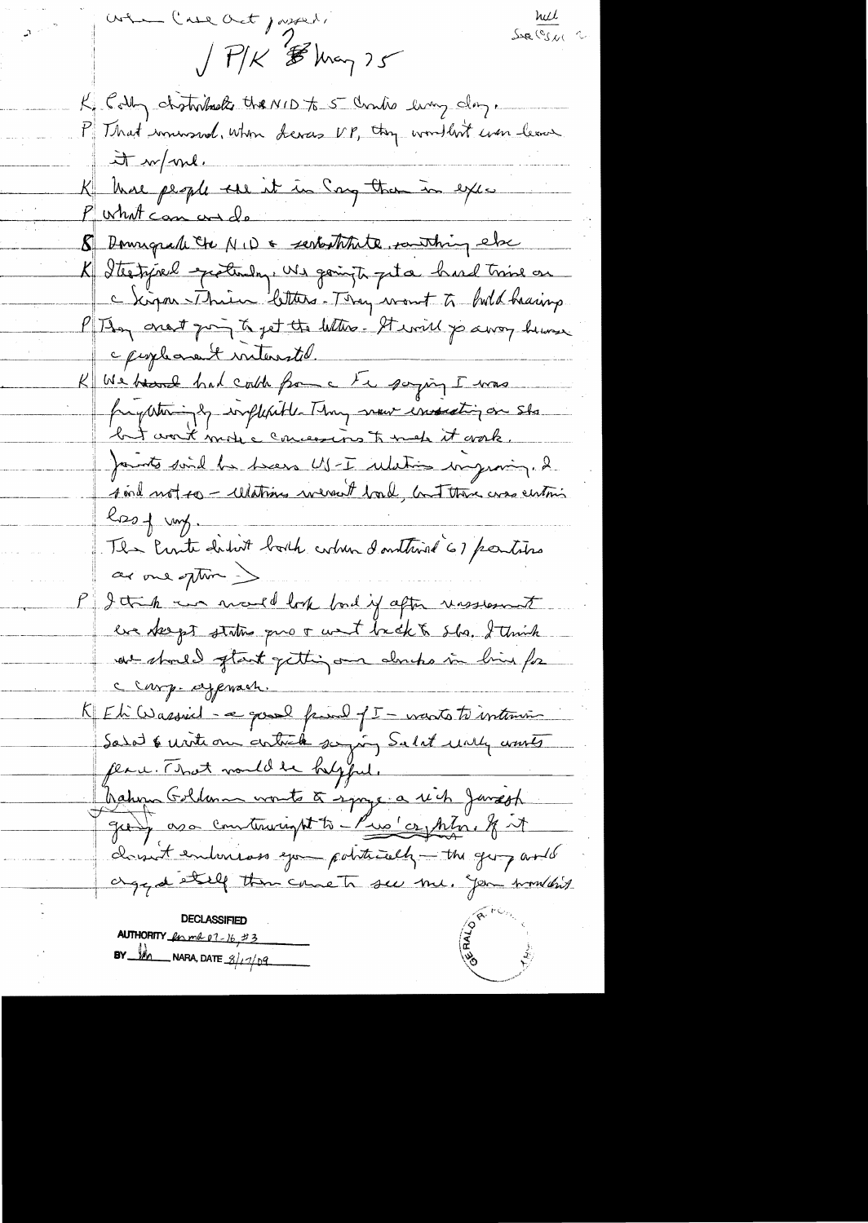Sur Cos e 2 when lase act joyers.  $\int$   $P/K$   $\mathcal{B}$  known  $25$ K Colly chatribute the NID to 5 Charles ling day.<br>P That munsed, when devers NP, they wouldn't were leaves.  $\frac{1}{2}$  or  $\frac{1}{2}$ K kure people une it in Song than in exce 8 Donnigue le MID & serbstitute southing else K Itertyrel protendry, We goingte peter hard trine on P They creat going to get the letters. It will jo away humen c peoplement interested. K We beaut had could from a tre somping I was fragesteringly implesible Thay move essenting on sho but work more concessions to meh it work. points sind he been US-I relation improving. I <u> soul not so - Whating weren't boul, but there was eintimized</u>  $k_{D0}$  +  $m_{\gamma}$ . The Perite didn't both column d'authine 61 parties as one often ). P I tak in march look band if after unsstant eux deept status prov unt brekt she. I think at stout of tant getting on douts in bine for Clarg. ayenach. K Et Wassiel - a good fried f I - varts to intervis Salat & write our article saying Salat unly wonts peace. That would be helpful. hahm Golden worte à synge a rich Janseph girly as a construction to - Pue comption, & it clossent emborses que potitively - the going and aged et if then came to see me. you wouldn't **AUTHORITY** for md 07-16, #3 BY  $M_{\rm m}$  NARA, DATE  $\frac{g}{f^2}$  or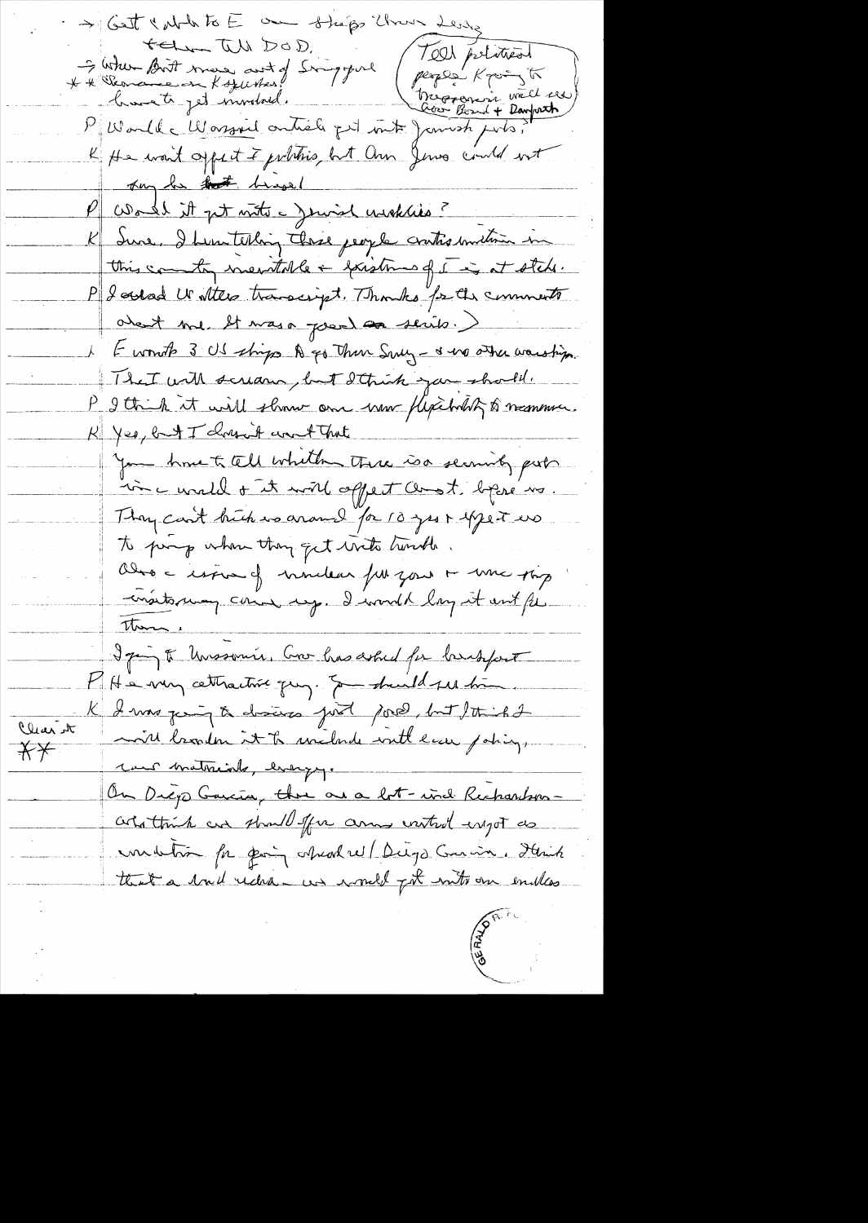> Get & what to E one sheps them telm W DOD. 7ell political I when Birt man ant of Singyoul<br>\* \* Peanance in Kozurskus! A Skande en Kozursker de Marie (Perper Kpoin 15 K He want appect I prhotis but Ohn Jews could not Try he that brassed P World it get note a Jewish wickles? K Iwe. I hear telling these people cratis unclinin in this country mentable + forstmes of I is at steh. PJ Sorrad U Attes transcript. Thomas fr the comments about me It was a pour as serits.) E wont 3 US strips A go Then Sucy - I we other warship. That will scream, but I think you should. P I think it will show one have flexibility to numer. R Yes, but I chosent won't That you have to tell whith three is security puts mi c wald + it will appent and t begin us They can't buch we around for 10 year expect us. to prone when they get with turnthe. Obro a esposa of mondear fun your + una pap matorum come up. I would long it out for There I ging of Unssouris, Con has asked for bridgeout KHe very cettractive quy. Somethind ses times K I was ging to drains just pour but to inhable Clear it mill broaden it to uncloud with law policy.  $\overline{X}$ cant materiale, energy. On Diego Garcia, there are a lot-wid Rechardsonartattink are should for anny verted engot as undetin for pain charles (Dugo Curion, Hinh that a built rechter was would got write our enables